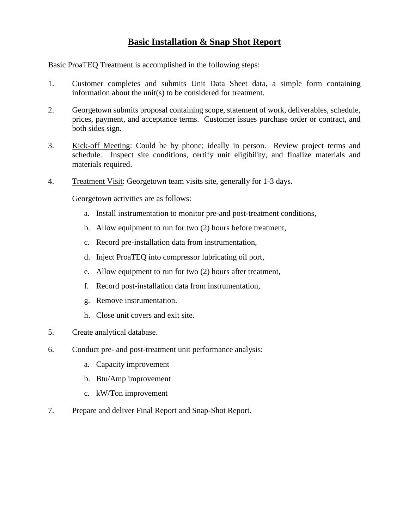# **Basic Installation & Snap Shot Report**

Basic ProaTEQ Treatment is accomplished in the following steps:

- 1. Customer completes and submits Unit Data Sheet data, a simple form containing information about the unit(s) to be considered for treatment.
- 2. Georgetown submits proposal containing scope, statement of work, deliverables, schedule, prices, payment, and acceptance terms. Customer issues purchase order or contract, and both sides sign.
- 3. Kick-off Meeting: Could be by phone; ideally in person. Review project terms and schedule. Inspect site conditions, certify unit eligibility, and finalize materials and materials required.
- 4. Treatment Visit: Georgetown team visits site, generally for 1-3 days.

Georgetown activities are as follows:

- a. Install instrumentation to monitor pre-and post-treatment conditions,
- b. Allow equipment to run for two (2) hours before treatment,
- c. Record pre-installation data from instrumentation,
- d. Inject ProaTEQ into compressor lubricating oil port,
- e. Allow equipment to run for two (2) hours after treatment,
- f. Record post-installation data from instrumentation,
- g. Remove instrumentation.
- h. Close unit covers and exit site.
- 5. Create analytical database.
- 6. Conduct pre- and post-treatment unit performance analysis:
	- a. Capacity improvement
	- b. Btu/Amp improvement
	- c. kW/Ton improvement
- 7. Prepare and deliver Final Report and Snap-Shot Report.